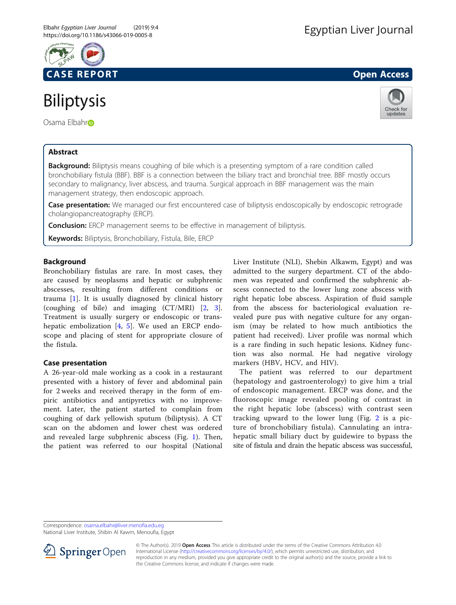

# **Biliptysis**

Osama Elbah[r](http://orcid.org/0000-0001-6902-8982)o

# Abstract



Background: Biliptysis means coughing of bile which is a presenting symptom of a rare condition called bronchobiliary fistula (BBF). BBF is a connection between the biliary tract and bronchial tree. BBF mostly occurs secondary to malignancy, liver abscess, and trauma. Surgical approach in BBF management was the main management strategy, then endoscopic approach.

Case presentation: We managed our first encountered case of biliptysis endoscopically by endoscopic retrograde cholangiopancreatography (ERCP).

**Conclusion:** ERCP management seems to be effective in management of biliptysis.

Keywords: Biliptysis, Bronchobiliary, Fistula, Bile, ERCP

# Background

Bronchobiliary fistulas are rare. In most cases, they are caused by neoplasms and hepatic or subphrenic abscesses, resulting from different conditions or trauma [[1](#page-2-0)]. It is usually diagnosed by clinical history (coughing of bile) and imaging (CT/MRI) [\[2](#page-2-0), [3](#page-2-0)]. Treatment is usually surgery or endoscopic or trans-hepatic embolization [\[4](#page-2-0), [5](#page-2-0)]. We used an ERCP endoscope and placing of stent for appropriate closure of the fistula.

# Case presentation

A 26-year-old male working as a cook in a restaurant presented with a history of fever and abdominal pain for 2 weeks and received therapy in the form of empiric antibiotics and antipyretics with no improvement. Later, the patient started to complain from coughing of dark yellowish sputum (biliptysis). A CT scan on the abdomen and lower chest was ordered and revealed large subphrenic abscess (Fig. [1\)](#page-1-0). Then, the patient was referred to our hospital (National Liver Institute (NLI), Shebin Alkawm, Egypt) and was admitted to the surgery department. CT of the abdomen was repeated and confirmed the subphrenic abscess connected to the lower lung zone abscess with right hepatic lobe abscess. Aspiration of fluid sample from the abscess for bacteriological evaluation revealed pure pus with negative culture for any organism (may be related to how much antibiotics the patient had received). Liver profile was normal which is a rare finding in such hepatic lesions. Kidney function was also normal. He had negative virology markers (HBV, HCV, and HIV).

The patient was referred to our department (hepatology and gastroenterology) to give him a trial of endoscopic management. ERCP was done, and the fluoroscopic image revealed pooling of contrast in the right hepatic lobe (abscess) with contrast seen tracking upward to the lower lung (Fig. [2](#page-2-0) is a picture of bronchobiliary fistula). Cannulating an intrahepatic small biliary duct by guidewire to bypass the site of fistula and drain the hepatic abscess was successful,

Correspondence: [osama.elbahr@liver.menofia.edu.eg](mailto:osama.elbahr@liver.menofia.edu.eg)

National Liver Institute, Shibin Al Kawm, Menoufia, Egypt



<sup>©</sup> The Author(s). 2019 Open Access This article is distributed under the terms of the Creative Commons Attribution 4.0 International License ([http://creativecommons.org/licenses/by/4.0/\)](http://creativecommons.org/licenses/by/4.0/), which permits unrestricted use, distribution, and reproduction in any medium, provided you give appropriate credit to the original author(s) and the source, provide a link to the Creative Commons license, and indicate if changes were made.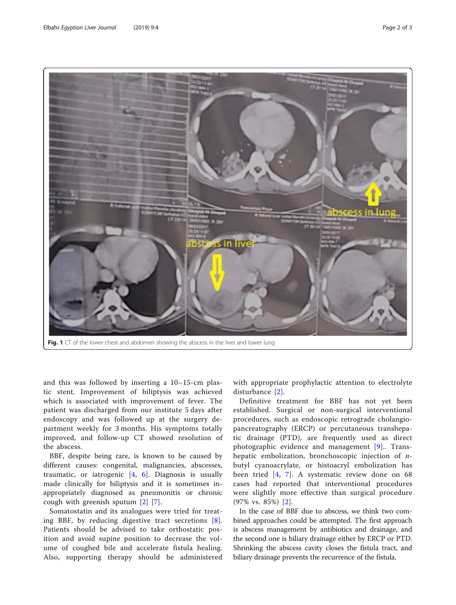<span id="page-1-0"></span>

and this was followed by inserting a 10–15-cm plastic stent. Improvement of biliptysis was achieved which is associated with improvement of fever. The patient was discharged from our institute 5 days after endoscopy and was followed up at the surgery department weekly for 3 months. His symptoms totally improved, and follow-up CT showed resolution of the abscess.

BBF, despite being rare, is known to be caused by different causes: congenital, malignancies, abscesses, traumatic, or iatrogenic  $[4, 6]$  $[4, 6]$  $[4, 6]$  $[4, 6]$  $[4, 6]$ . Diagnosis is usually made clinically for biliptysis and it is sometimes inappropriately diagnosed as pneumonitis or chronic cough with greenish sputum [[2\]](#page-2-0) [\[7](#page-2-0)].

Somatostatin and its analogues were tried for treating BBF, by reducing digestive tract secretions [[8](#page-2-0)]. Patients should be advised to take orthostatic position and avoid supine position to decrease the volume of coughed bile and accelerate fistula healing. Also, supporting therapy should be administered with appropriate prophylactic attention to electrolyte disturbance [[2\]](#page-2-0).

Definitive treatment for BBF has not yet been established. Surgical or non-surgical interventional procedures, such as endoscopic retrograde cholangiopancreatography (ERCP) or percutaneous transhepatic drainage (PTD), are frequently used as direct photographic evidence and management [[9](#page-2-0)].. Transhepatic embolization, bronchoscopic injection of nbutyl cyanoacrylate, or histoacryl embolization has been tried [[4,](#page-2-0) [7\]](#page-2-0). A systematic review done on 68 cases had reported that interventional procedures were slightly more effective than surgical procedure (97% vs. 85%) [[2](#page-2-0)].

In the case of BBF due to abscess, we think two combined approaches could be attempted. The first approach is abscess management by antibiotics and drainage, and the second one is biliary drainage either by ERCP or PTD. Shrinking the abscess cavity closes the fistula tract, and biliary drainage prevents the recurrence of the fistula.